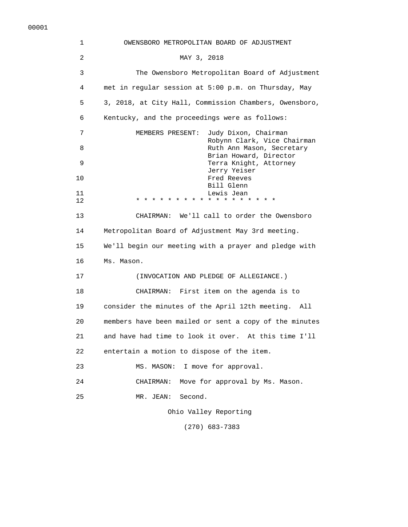| 1  | OWENSBORO METROPOLITAN BOARD OF ADJUSTMENT               |
|----|----------------------------------------------------------|
| 2  | MAY 3, 2018                                              |
| 3  | The Owensboro Metropolitan Board of Adjustment           |
| 4  | met in regular session at 5:00 p.m. on Thursday, May     |
| 5  | 3, 2018, at City Hall, Commission Chambers, Owensboro,   |
| 6  | Kentucky, and the proceedings were as follows:           |
| 7  | Judy Dixon, Chairman<br>MEMBERS PRESENT:                 |
| 8  | Robynn Clark, Vice Chairman<br>Ruth Ann Mason, Secretary |
| 9  | Brian Howard, Director<br>Terra Knight, Attorney         |
| 10 | Jerry Yeiser<br>Fred Reeves                              |
| 11 | Bill Glenn<br>Lewis Jean                                 |
| 12 | * * * * * * * * * * * *                                  |
| 13 | CHAIRMAN: We'll call to order the Owensboro              |
| 14 | Metropolitan Board of Adjustment May 3rd meeting.        |
| 15 | We'll begin our meeting with a prayer and pledge with    |
| 16 | Ms. Mason.                                               |
| 17 | (INVOCATION AND PLEDGE OF ALLEGIANCE.)                   |
| 18 | CHAIRMAN: First item on the agenda is to                 |
| 19 | consider the minutes of the April 12th meeting. All      |
| 20 | members have been mailed or sent a copy of the minutes   |
| 21 | and have had time to look it over. At this time I'll     |
| 22 | entertain a motion to dispose of the item.               |
| 23 | I move for approval.<br>MS. MASON:                       |
| 24 | Move for approval by Ms. Mason.<br>CHAIRMAN:             |
| 25 | Second.<br>MR. JEAN:                                     |
|    | Ohio Valley Reporting                                    |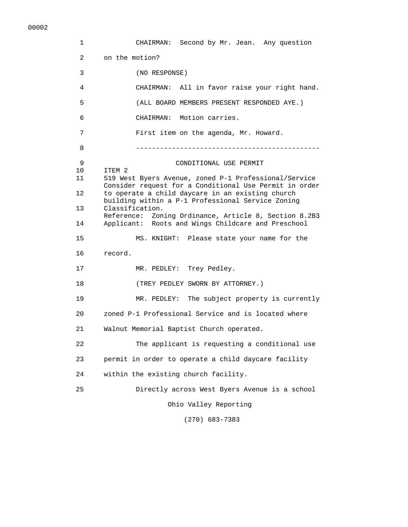| 1              | CHAIRMAN: Second by Mr. Jean. Any question                           |
|----------------|----------------------------------------------------------------------|
| $\overline{2}$ | on the motion?                                                       |
| 3              | (NO RESPONSE)                                                        |
| 4              | CHAIRMAN: All in favor raise your right hand.                        |
| 5              | (ALL BOARD MEMBERS PRESENT RESPONDED AYE.)                           |
| 6              | CHAIRMAN: Motion carries.                                            |
| 7              | First item on the agenda, Mr. Howard.                                |
| 8              |                                                                      |
| 9              | CONDITIONAL USE PERMIT                                               |
| 10<br>11       | ITEM 2<br>519 West Byers Avenue, zoned P-1 Professional/Service      |
|                | Consider request for a Conditional Use Permit in order               |
| 12             | to operate a child daycare in an existing church                     |
| 13             | building within a P-1 Professional Service Zoning<br>Classification. |
|                | Reference: Zoning Ordinance, Article 8, Section 8.2B3                |
| 14             | Applicant: Roots and Wings Childcare and Preschool                   |
| 15             | MS. KNIGHT: Please state your name for the                           |
| 16             | record.                                                              |
| 17             | MR. PEDLEY: Trey Pedley.                                             |
| 18             | (TREY PEDLEY SWORN BY ATTORNEY.)                                     |
| 19             | MR. PEDLEY: The subject property is currently                        |
| 20             | zoned P-1 Professional Service and is located where                  |
| 21             | Walnut Memorial Baptist Church operated.                             |
| 22             | The applicant is requesting a conditional use                        |
| 23             | permit in order to operate a child daycare facility                  |
| 24             | within the existing church facility.                                 |
| 25             | Directly across West Byers Avenue is a school                        |
|                | Ohio Valley Reporting                                                |
|                |                                                                      |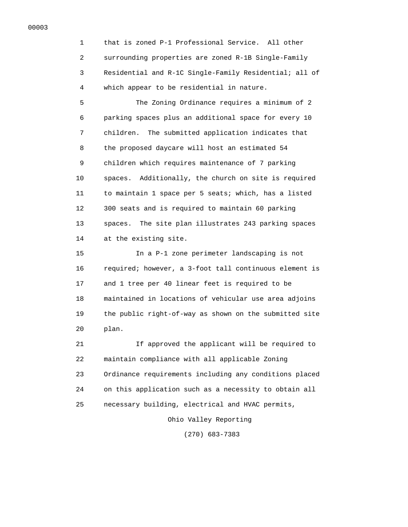1 that is zoned P-1 Professional Service. All other 2 surrounding properties are zoned R-1B Single-Family 3 Residential and R-1C Single-Family Residential; all of 4 which appear to be residential in nature.

 5 The Zoning Ordinance requires a minimum of 2 6 parking spaces plus an additional space for every 10 7 children. The submitted application indicates that 8 the proposed daycare will host an estimated 54 9 children which requires maintenance of 7 parking 10 spaces. Additionally, the church on site is required 11 to maintain 1 space per 5 seats; which, has a listed 12 300 seats and is required to maintain 60 parking 13 spaces. The site plan illustrates 243 parking spaces 14 at the existing site.

 15 In a P-1 zone perimeter landscaping is not 16 required; however, a 3-foot tall continuous element is 17 and 1 tree per 40 linear feet is required to be 18 maintained in locations of vehicular use area adjoins 19 the public right-of-way as shown on the submitted site 20 plan.

 21 If approved the applicant will be required to 22 maintain compliance with all applicable Zoning 23 Ordinance requirements including any conditions placed 24 on this application such as a necessity to obtain all 25 necessary building, electrical and HVAC permits,

Ohio Valley Reporting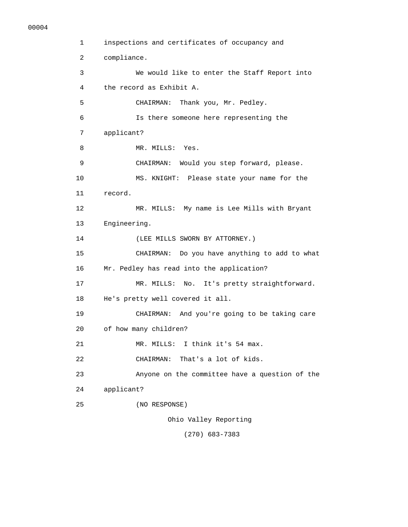```
 1 inspections and certificates of occupancy and 
  2 compliance. 
  3 We would like to enter the Staff Report into 
  4 the record as Exhibit A. 
 5 CHAIRMAN: Thank you, Mr. Pedley. 
  6 Is there someone here representing the 
 7 applicant? 
8 MR. MILLS: Yes.
 9 CHAIRMAN: Would you step forward, please. 
 10 MS. KNIGHT: Please state your name for the 
 11 record. 
 12 MR. MILLS: My name is Lee Mills with Bryant 
 13 Engineering. 
 14 (LEE MILLS SWORN BY ATTORNEY.) 
 15 CHAIRMAN: Do you have anything to add to what 
 16 Mr. Pedley has read into the application? 
 17 MR. MILLS: No. It's pretty straightforward. 
 18 He's pretty well covered it all. 
 19 CHAIRMAN: And you're going to be taking care 
 20 of how many children? 
 21 MR. MILLS: I think it's 54 max. 
 22 CHAIRMAN: That's a lot of kids. 
 23 Anyone on the committee have a question of the 
 24 applicant? 
 25 (NO RESPONSE) 
                    Ohio Valley Reporting 
                       (270) 683-7383
```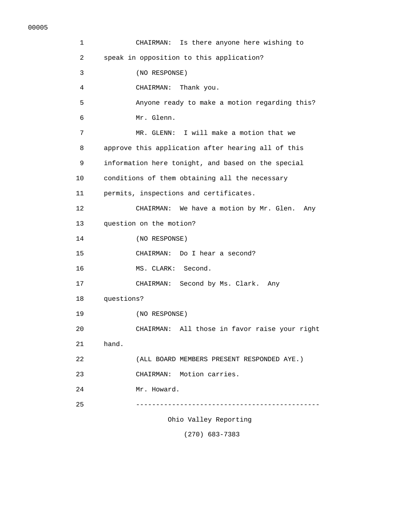| 1               | CHAIRMAN: Is there anyone here wishing to          |
|-----------------|----------------------------------------------------|
| $\overline{a}$  | speak in opposition to this application?           |
| 3               | (NO RESPONSE)                                      |
| 4               | Thank you.<br>CHAIRMAN:                            |
| 5               | Anyone ready to make a motion regarding this?      |
| 6               | Mr. Glenn.                                         |
| 7               | MR. GLENN: I will make a motion that we            |
| 8               | approve this application after hearing all of this |
| 9               | information here tonight, and based on the special |
| 10              | conditions of them obtaining all the necessary     |
| 11              | permits, inspections and certificates.             |
| 12 <sup>2</sup> | CHAIRMAN: We have a motion by Mr. Glen.<br>Any     |
| 13              | question on the motion?                            |
| 14              | (NO RESPONSE)                                      |
| 15              | CHAIRMAN: Do I hear a second?                      |
| 16              | MS. CLARK: Second.                                 |
| 17              | CHAIRMAN: Second by Ms. Clark. Any                 |
| 18              | questions?                                         |
| 19              | (NO RESPONSE)                                      |
| 20              | CHAIRMAN: All those in favor raise your right      |
| 21              | hand.                                              |
| 22              | (ALL BOARD MEMBERS PRESENT RESPONDED AYE.)         |
| 23              | CHAIRMAN: Motion carries.                          |
| 24              | Mr. Howard.                                        |
| 25              |                                                    |
|                 | Ohio Valley Reporting                              |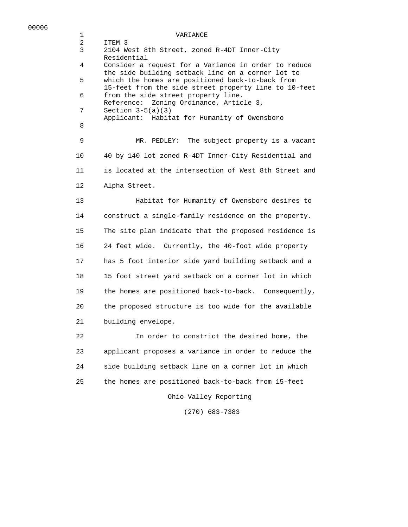## 1 VARIANCE

 2 ITEM 3 3 2104 West 8th Street, zoned R-4DT Inner-City Residential 4 Consider a request for a Variance in order to reduce the side building setback line on a corner lot to 5 which the homes are positioned back-to-back from 15-feet from the side street property line to 10-feet 6 from the side street property line. Reference: Zoning Ordinance, Article 3, 7 Section 3-5(a)(3) Applicant: Habitat for Humanity of Owensboro 8 9 MR. PEDLEY: The subject property is a vacant 10 40 by 140 lot zoned R-4DT Inner-City Residential and 11 is located at the intersection of West 8th Street and 12 Alpha Street. 13 Habitat for Humanity of Owensboro desires to 14 construct a single-family residence on the property. 15 The site plan indicate that the proposed residence is 16 24 feet wide. Currently, the 40-foot wide property 17 has 5 foot interior side yard building setback and a 18 15 foot street yard setback on a corner lot in which 19 the homes are positioned back-to-back. Consequently, 20 the proposed structure is too wide for the available 21 building envelope. 22 In order to constrict the desired home, the 23 applicant proposes a variance in order to reduce the 24 side building setback line on a corner lot in which 25 the homes are positioned back-to-back from 15-feet

Ohio Valley Reporting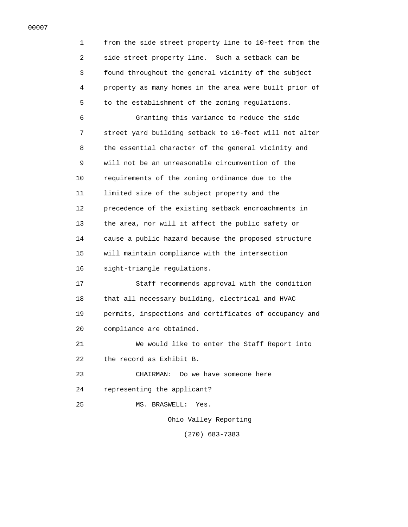1 from the side street property line to 10-feet from the 2 side street property line. Such a setback can be 3 found throughout the general vicinity of the subject 4 property as many homes in the area were built prior of 5 to the establishment of the zoning regulations. 6 Granting this variance to reduce the side 7 street yard building setback to 10-feet will not alter 8 the essential character of the general vicinity and 9 will not be an unreasonable circumvention of the 10 requirements of the zoning ordinance due to the 11 limited size of the subject property and the 12 precedence of the existing setback encroachments in 13 the area, nor will it affect the public safety or 14 cause a public hazard because the proposed structure 15 will maintain compliance with the intersection 16 sight-triangle regulations. 17 Staff recommends approval with the condition 18 that all necessary building, electrical and HVAC 19 permits, inspections and certificates of occupancy and 20 compliance are obtained. 21 We would like to enter the Staff Report into 22 the record as Exhibit B. 23 CHAIRMAN: Do we have someone here 24 representing the applicant? 25 MS. BRASWELL: Yes. Ohio Valley Reporting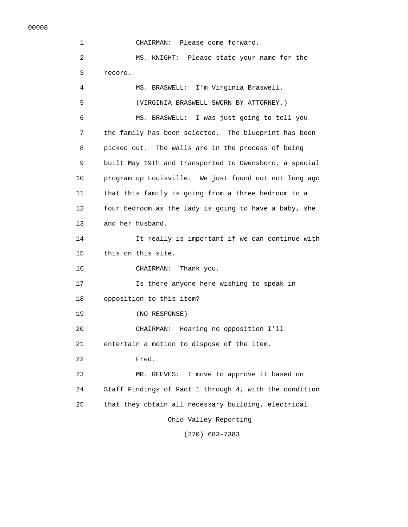1 CHAIRMAN: Please come forward. 2 MS. KNIGHT: Please state your name for the 3 record. 4 MS. BRASWELL: I'm Virginia Braswell. 5 (VIRGINIA BRASWELL SWORN BY ATTORNEY.) 6 MS. BRASWELL: I was just going to tell you 7 the family has been selected. The blueprint has been 8 picked out. The walls are in the process of being 9 built May 19th and transported to Owensboro, a special 10 program up Louisville. We just found out not long ago 11 that this family is going from a three bedroom to a 12 four bedroom as the lady is going to have a baby, she 13 and her husband. 14 It really is important if we can continue with 15 this on this site. 16 CHAIRMAN: Thank you. 17 Is there anyone here wishing to speak in 18 opposition to this item? 19 (NO RESPONSE) 20 CHAIRMAN: Hearing no opposition I'll 21 entertain a motion to dispose of the item. 22 Fred. 23 MR. REEVES: I move to approve it based on 24 Staff Findings of Fact 1 through 4, with the condition 25 that they obtain all necessary building, electrical Ohio Valley Reporting (270) 683-7383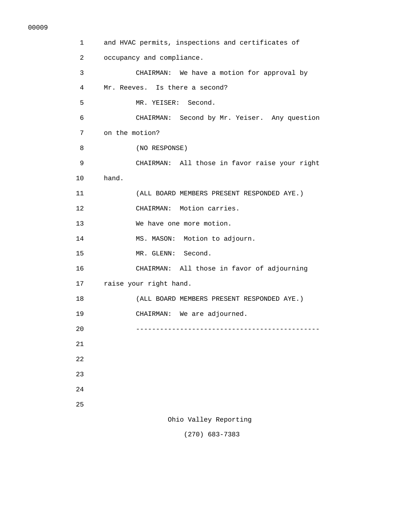| 1              | and HVAC permits, inspections and certificates of |
|----------------|---------------------------------------------------|
| $\overline{a}$ | occupancy and compliance.                         |
| 3              | CHAIRMAN: We have a motion for approval by        |
| 4              | Mr. Reeves. Is there a second?                    |
| 5              | MR. YEISER: Second.                               |
| 6              | CHAIRMAN: Second by Mr. Yeiser. Any question      |
| 7              | on the motion?                                    |
| 8              | (NO RESPONSE)                                     |
| 9              | CHAIRMAN: All those in favor raise your right     |
| 10             | hand.                                             |
| 11             | (ALL BOARD MEMBERS PRESENT RESPONDED AYE.)        |
| 12             | CHAIRMAN: Motion carries.                         |
| 13             | We have one more motion.                          |
| 14             | MS. MASON: Motion to adjourn.                     |
| 15             | MR. GLENN: Second.                                |
| 16             | CHAIRMAN: All those in favor of adjourning        |
| 17             | raise your right hand.                            |
| 18             | (ALL BOARD MEMBERS PRESENT RESPONDED AYE.)        |
| 19             | CHAIRMAN: We are adjourned.                       |
| 20             |                                                   |
| 21             |                                                   |
| 22             |                                                   |
| 23             |                                                   |
| 24             |                                                   |
| 25             |                                                   |
|                | Ohio Valley Reporting                             |